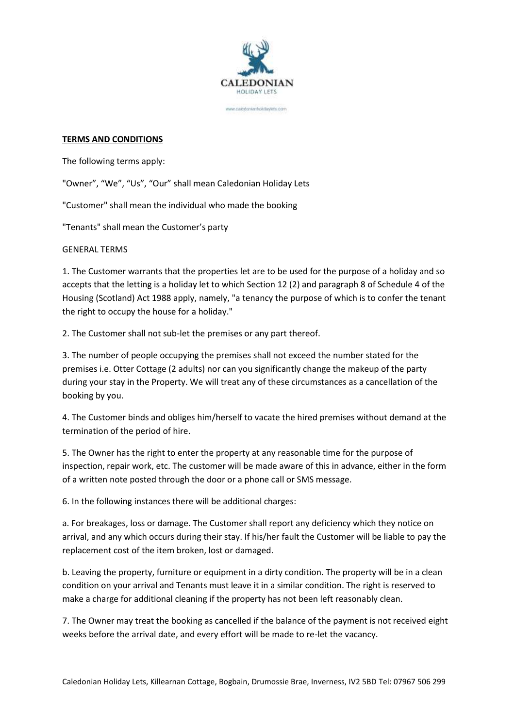

ww.statedoniantholistavians.com

#### **TERMS AND CONDITIONS**

The following terms apply:

"Owner", "We", "Us", "Our" shall mean Caledonian Holiday Lets

"Customer" shall mean the individual who made the booking

"Tenants" shall mean the Customer's party

GENERAL TERMS

1. The Customer warrants that the properties let are to be used for the purpose of a holiday and so accepts that the letting is a holiday let to which Section 12 (2) and paragraph 8 of Schedule 4 of the Housing (Scotland) Act 1988 apply, namely, "a tenancy the purpose of which is to confer the tenant the right to occupy the house for a holiday."

2. The Customer shall not sub-let the premises or any part thereof.

3. The number of people occupying the premises shall not exceed the number stated for the premises i.e. Otter Cottage (2 adults) nor can you significantly change the makeup of the party during your stay in the Property. We will treat any of these circumstances as a cancellation of the booking by you.

4. The Customer binds and obliges him/herself to vacate the hired premises without demand at the termination of the period of hire.

5. The Owner has the right to enter the property at any reasonable time for the purpose of inspection, repair work, etc. The customer will be made aware of this in advance, either in the form of a written note posted through the door or a phone call or SMS message.

6. In the following instances there will be additional charges:

a. For breakages, loss or damage. The Customer shall report any deficiency which they notice on arrival, and any which occurs during their stay. If his/her fault the Customer will be liable to pay the replacement cost of the item broken, lost or damaged.

b. Leaving the property, furniture or equipment in a dirty condition. The property will be in a clean condition on your arrival and Tenants must leave it in a similar condition. The right is reserved to make a charge for additional cleaning if the property has not been left reasonably clean.

7. The Owner may treat the booking as cancelled if the balance of the payment is not received eight weeks before the arrival date, and every effort will be made to re-let the vacancy.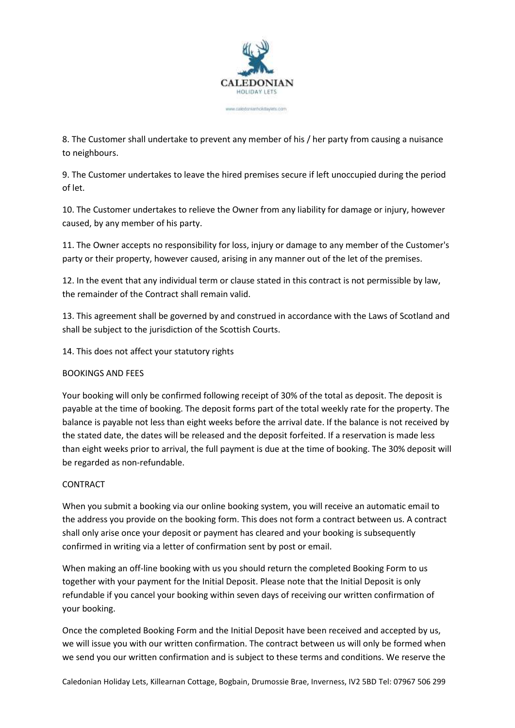

www.statedonratastrickstavantic.com

8. The Customer shall undertake to prevent any member of his / her party from causing a nuisance to neighbours.

9. The Customer undertakes to leave the hired premises secure if left unoccupied during the period of let.

10. The Customer undertakes to relieve the Owner from any liability for damage or injury, however caused, by any member of his party.

11. The Owner accepts no responsibility for loss, injury or damage to any member of the Customer's party or their property, however caused, arising in any manner out of the let of the premises.

12. In the event that any individual term or clause stated in this contract is not permissible by law, the remainder of the Contract shall remain valid.

13. This agreement shall be governed by and construed in accordance with the Laws of Scotland and shall be subject to the jurisdiction of the Scottish Courts.

14. This does not affect your statutory rights

# BOOKINGS AND FEES

Your booking will only be confirmed following receipt of 30% of the total as deposit. The deposit is payable at the time of booking. The deposit forms part of the total weekly rate for the property. The balance is payable not less than eight weeks before the arrival date. If the balance is not received by the stated date, the dates will be released and the deposit forfeited. If a reservation is made less than eight weeks prior to arrival, the full payment is due at the time of booking. The 30% deposit will be regarded as non-refundable.

### CONTRACT

When you submit a booking via our online booking system, you will receive an automatic email to the address you provide on the booking form. This does not form a contract between us. A contract shall only arise once your deposit or payment has cleared and your booking is subsequently confirmed in writing via a letter of confirmation sent by post or email.

When making an off-line booking with us you should return the completed Booking Form to us together with your payment for the Initial Deposit. Please note that the Initial Deposit is only refundable if you cancel your booking within seven days of receiving our written confirmation of your booking.

Once the completed Booking Form and the Initial Deposit have been received and accepted by us, we will issue you with our written confirmation. The contract between us will only be formed when we send you our written confirmation and is subject to these terms and conditions. We reserve the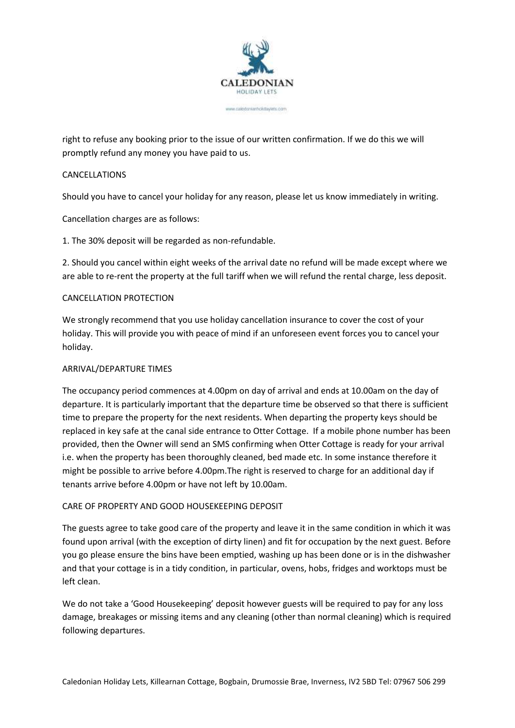

www.statedonsasthckstavanic.com

right to refuse any booking prior to the issue of our written confirmation. If we do this we will promptly refund any money you have paid to us.

#### CANCELLATIONS

Should you have to cancel your holiday for any reason, please let us know immediately in writing.

Cancellation charges are as follows:

1. The 30% deposit will be regarded as non-refundable.

2. Should you cancel within eight weeks of the arrival date no refund will be made except where we are able to re-rent the property at the full tariff when we will refund the rental charge, less deposit.

#### CANCELLATION PROTECTION

We strongly recommend that you use holiday cancellation insurance to cover the cost of your holiday. This will provide you with peace of mind if an unforeseen event forces you to cancel your holiday.

#### ARRIVAL/DEPARTURE TIMES

The occupancy period commences at 4.00pm on day of arrival and ends at 10.00am on the day of departure. It is particularly important that the departure time be observed so that there is sufficient time to prepare the property for the next residents. When departing the property keys should be replaced in key safe at the canal side entrance to Otter Cottage. If a mobile phone number has been provided, then the Owner will send an SMS confirming when Otter Cottage is ready for your arrival i.e. when the property has been thoroughly cleaned, bed made etc. In some instance therefore it might be possible to arrive before 4.00pm.The right is reserved to charge for an additional day if tenants arrive before 4.00pm or have not left by 10.00am.

### CARE OF PROPERTY AND GOOD HOUSEKEEPING DEPOSIT

The guests agree to take good care of the property and leave it in the same condition in which it was found upon arrival (with the exception of dirty linen) and fit for occupation by the next guest. Before you go please ensure the bins have been emptied, washing up has been done or is in the dishwasher and that your cottage is in a tidy condition, in particular, ovens, hobs, fridges and worktops must be left clean.

We do not take a 'Good Housekeeping' deposit however guests will be required to pay for any loss damage, breakages or missing items and any cleaning (other than normal cleaning) which is required following departures.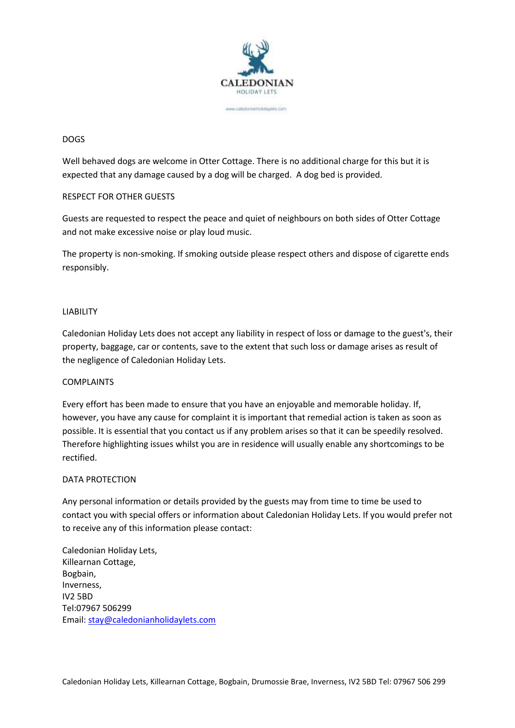

www.saledoniantickitaylets.com

### DOGS

Well behaved dogs are welcome in Otter Cottage. There is no additional charge for this but it is expected that any damage caused by a dog will be charged. A dog bed is provided.

### RESPECT FOR OTHER GUESTS

Guests are requested to respect the peace and quiet of neighbours on both sides of Otter Cottage and not make excessive noise or play loud music.

The property is non-smoking. If smoking outside please respect others and dispose of cigarette ends responsibly.

## LIABILITY

Caledonian Holiday Lets does not accept any liability in respect of loss or damage to the guest's, their property, baggage, car or contents, save to the extent that such loss or damage arises as result of the negligence of Caledonian Holiday Lets.

### COMPLAINTS

Every effort has been made to ensure that you have an enjoyable and memorable holiday. If, however, you have any cause for complaint it is important that remedial action is taken as soon as possible. It is essential that you contact us if any problem arises so that it can be speedily resolved. Therefore highlighting issues whilst you are in residence will usually enable any shortcomings to be rectified.

### DATA PROTECTION

Any personal information or details provided by the guests may from time to time be used to contact you with special offers or information about Caledonian Holiday Lets. If you would prefer not to receive any of this information please contact:

Caledonian Holiday Lets, Killearnan Cottage, Bogbain, Inverness, IV2 5BD Tel:07967 506299 Email: [stay@caledonianholidaylets.com](mailto:stay@caledonianholidaylets.com)